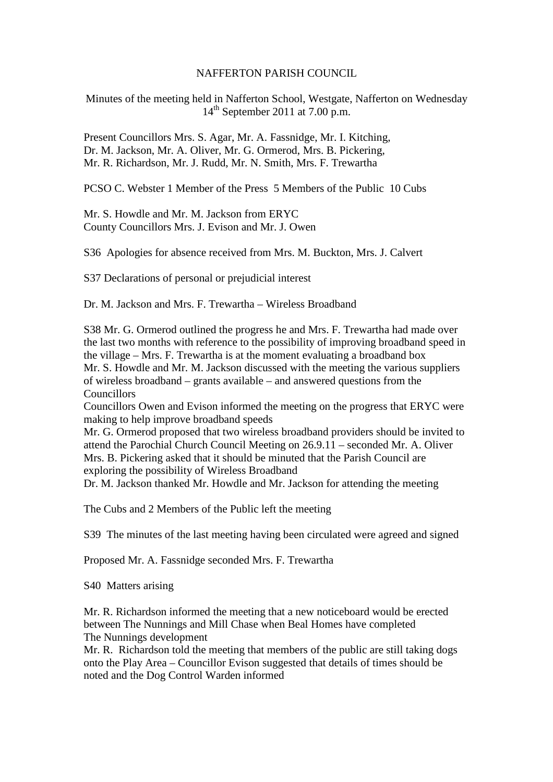## NAFFERTON PARISH COUNCIL

Minutes of the meeting held in Nafferton School, Westgate, Nafferton on Wednesday  $14<sup>th</sup>$  September 2011 at 7.00 p.m.

Present Councillors Mrs. S. Agar, Mr. A. Fassnidge, Mr. I. Kitching, Dr. M. Jackson, Mr. A. Oliver, Mr. G. Ormerod, Mrs. B. Pickering, Mr. R. Richardson, Mr. J. Rudd, Mr. N. Smith, Mrs. F. Trewartha

PCSO C. Webster 1 Member of the Press 5 Members of the Public 10 Cubs

Mr. S. Howdle and Mr. M. Jackson from ERYC County Councillors Mrs. J. Evison and Mr. J. Owen

S36 Apologies for absence received from Mrs. M. Buckton, Mrs. J. Calvert

S37 Declarations of personal or prejudicial interest

Dr. M. Jackson and Mrs. F. Trewartha – Wireless Broadband

S38 Mr. G. Ormerod outlined the progress he and Mrs. F. Trewartha had made over the last two months with reference to the possibility of improving broadband speed in the village – Mrs. F. Trewartha is at the moment evaluating a broadband box Mr. S. Howdle and Mr. M. Jackson discussed with the meeting the various suppliers of wireless broadband – grants available – and answered questions from the **Councillors** 

Councillors Owen and Evison informed the meeting on the progress that ERYC were making to help improve broadband speeds

Mr. G. Ormerod proposed that two wireless broadband providers should be invited to attend the Parochial Church Council Meeting on 26.9.11 – seconded Mr. A. Oliver Mrs. B. Pickering asked that it should be minuted that the Parish Council are exploring the possibility of Wireless Broadband

Dr. M. Jackson thanked Mr. Howdle and Mr. Jackson for attending the meeting

The Cubs and 2 Members of the Public left the meeting

S39 The minutes of the last meeting having been circulated were agreed and signed

Proposed Mr. A. Fassnidge seconded Mrs. F. Trewartha

S40 Matters arising

Mr. R. Richardson informed the meeting that a new noticeboard would be erected between The Nunnings and Mill Chase when Beal Homes have completed The Nunnings development

Mr. R. Richardson told the meeting that members of the public are still taking dogs onto the Play Area – Councillor Evison suggested that details of times should be noted and the Dog Control Warden informed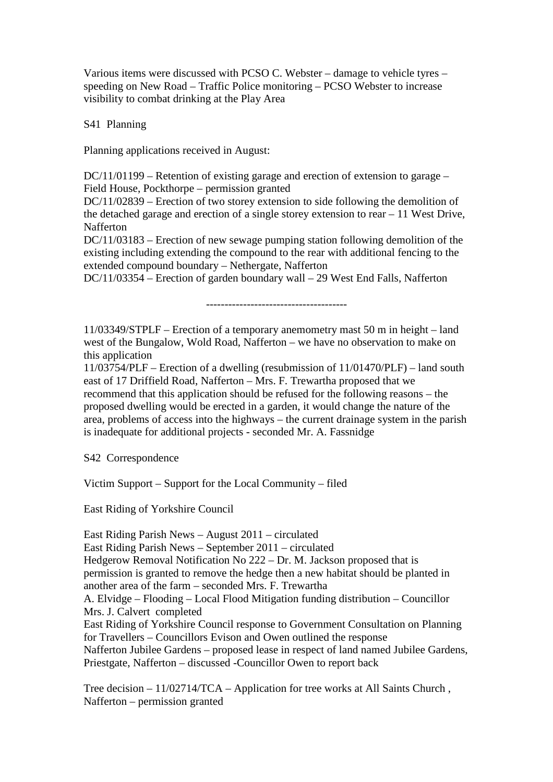Various items were discussed with PCSO C. Webster – damage to vehicle tyres – speeding on New Road – Traffic Police monitoring – PCSO Webster to increase visibility to combat drinking at the Play Area

S41 Planning

Planning applications received in August:

DC/11/01199 – Retention of existing garage and erection of extension to garage – Field House, Pockthorpe – permission granted

DC/11/02839 – Erection of two storey extension to side following the demolition of the detached garage and erection of a single storey extension to rear – 11 West Drive, Nafferton

DC/11/03183 – Erection of new sewage pumping station following demolition of the existing including extending the compound to the rear with additional fencing to the extended compound boundary – Nethergate, Nafferton

DC/11/03354 – Erection of garden boundary wall – 29 West End Falls, Nafferton

--------------------------------------

11/03349/STPLF – Erection of a temporary anemometry mast 50 m in height – land west of the Bungalow, Wold Road, Nafferton – we have no observation to make on this application

11/03754/PLF – Erection of a dwelling (resubmission of 11/01470/PLF) – land south east of 17 Driffield Road, Nafferton – Mrs. F. Trewartha proposed that we recommend that this application should be refused for the following reasons – the proposed dwelling would be erected in a garden, it would change the nature of the area, problems of access into the highways – the current drainage system in the parish is inadequate for additional projects - seconded Mr. A. Fassnidge

S42 Correspondence

Victim Support – Support for the Local Community – filed

East Riding of Yorkshire Council

East Riding Parish News – August 2011 – circulated East Riding Parish News – September 2011 – circulated Hedgerow Removal Notification No 222 – Dr. M. Jackson proposed that is permission is granted to remove the hedge then a new habitat should be planted in another area of the farm – seconded Mrs. F. Trewartha A. Elvidge – Flooding – Local Flood Mitigation funding distribution – Councillor Mrs. J. Calvert completed East Riding of Yorkshire Council response to Government Consultation on Planning for Travellers – Councillors Evison and Owen outlined the response Nafferton Jubilee Gardens – proposed lease in respect of land named Jubilee Gardens, Priestgate, Nafferton – discussed -Councillor Owen to report back

Tree decision – 11/02714/TCA – Application for tree works at All Saints Church , Nafferton – permission granted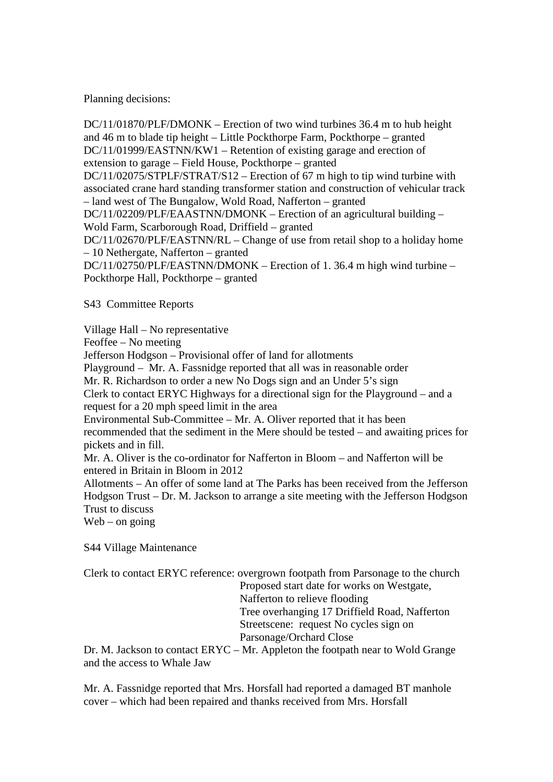Planning decisions:

DC/11/01870/PLF/DMONK – Erection of two wind turbines 36.4 m to hub height and 46 m to blade tip height – Little Pockthorpe Farm, Pockthorpe – granted DC/11/01999/EASTNN/KW1 – Retention of existing garage and erection of extension to garage – Field House, Pockthorpe – granted DC/11/02075/STPLF/STRAT/S12 – Erection of 67 m high to tip wind turbine with associated crane hard standing transformer station and construction of vehicular track – land west of The Bungalow, Wold Road, Nafferton – granted DC/11/02209/PLF/EAASTNN/DMONK – Erection of an agricultural building – Wold Farm, Scarborough Road, Driffield – granted DC/11/02670/PLF/EASTNN/RL – Change of use from retail shop to a holiday home – 10 Nethergate, Nafferton – granted DC/11/02750/PLF/EASTNN/DMONK – Erection of 1. 36.4 m high wind turbine – Pockthorpe Hall, Pockthorpe – granted

S43 Committee Reports

Village Hall – No representative

Feoffee – No meeting

Jefferson Hodgson – Provisional offer of land for allotments

Playground – Mr. A. Fassnidge reported that all was in reasonable order

Mr. R. Richardson to order a new No Dogs sign and an Under 5's sign

Clerk to contact ERYC Highways for a directional sign for the Playground – and a request for a 20 mph speed limit in the area

Environmental Sub-Committee – Mr. A. Oliver reported that it has been recommended that the sediment in the Mere should be tested – and awaiting prices for pickets and in fill.

Mr. A. Oliver is the co-ordinator for Nafferton in Bloom – and Nafferton will be entered in Britain in Bloom in 2012

Allotments – An offer of some land at The Parks has been received from the Jefferson Hodgson Trust – Dr. M. Jackson to arrange a site meeting with the Jefferson Hodgson Trust to discuss

 $Web - on going$ 

S44 Village Maintenance

| Clerk to contact ERYC reference: overgrown footpath from Parsonage to the church |
|----------------------------------------------------------------------------------|
| Proposed start date for works on Westgate,                                       |
| Nafferton to relieve flooding                                                    |
| Tree overhanging 17 Driffield Road, Nafferton                                    |
| Streetscene: request No cycles sign on                                           |
| Parsonage/Orchard Close                                                          |
| Dr. M. Jackson to contact ERYC – Mr. Appleton the footpath near to Wold Grange   |
| and the access to Whale Jaw                                                      |

Mr. A. Fassnidge reported that Mrs. Horsfall had reported a damaged BT manhole cover – which had been repaired and thanks received from Mrs. Horsfall